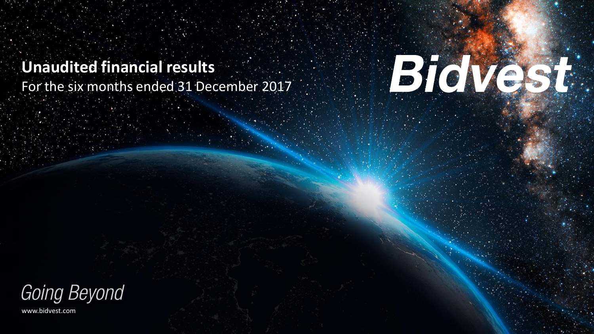**Unaudited financial results** For the six months ended 31 December 2017



Going Beyond

www.bidvest.com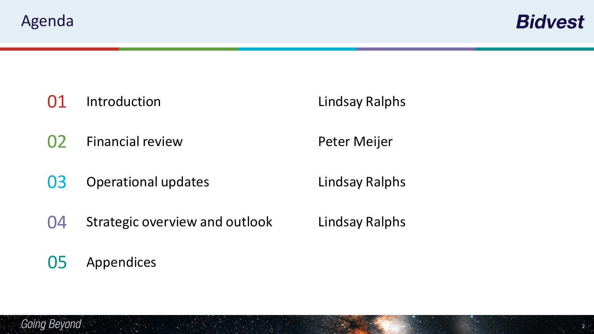**Bidvest** 

**01** Introduction Lindsay Ralphs

02 Financial review **Peter Meijer** 

**03** Operational updates Lindsay Ralphs

04 Strategic overview and outlook Lindsay Ralphs

05 Appendices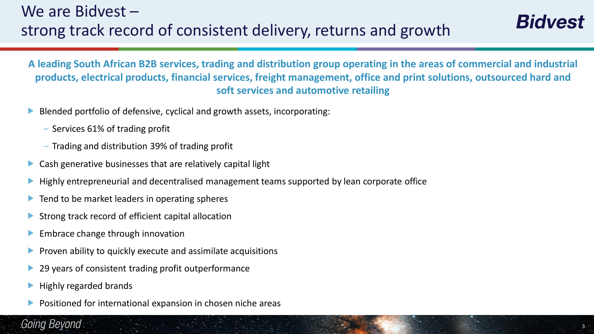**A leading South African B2B services, trading and distribution group operating in the areas of commercial and industrial products, electrical products, financial services, freight management, office and print solutions, outsourced hard and soft services and automotive retailing**

3

- Blended portfolio of defensive, cyclical and growth assets, incorporating:
	- Services 61% of trading profit
	- Trading and distribution 39% of trading profit
- Cash generative businesses that are relatively capital light
- Highly entrepreneurial and decentralised management teams supported by lean corporate office
- $\blacktriangleright$  Tend to be market leaders in operating spheres
- $\triangleright$  Strong track record of efficient capital allocation
- **Embrace change through innovation**
- **Proven ability to quickly execute and assimilate acquisitions**
- ▶ 29 years of consistent trading profit outperformance
- Highly regarded brands
- Positioned for international expansion in chosen niche areas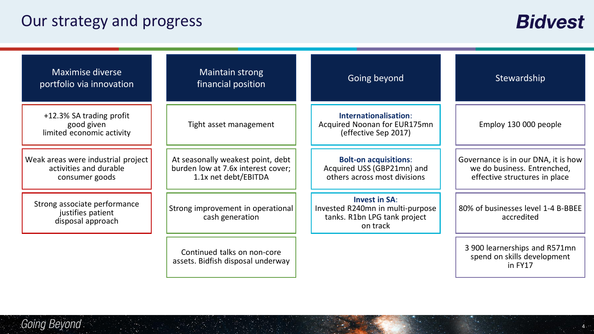## Our strategy and progress

| <b>Maximise diverse</b><br>portfolio via innovation                            | Maintain strong<br>financial position                                                           | Going beyond                                                                                         | Stewardship                                                                                         |
|--------------------------------------------------------------------------------|-------------------------------------------------------------------------------------------------|------------------------------------------------------------------------------------------------------|-----------------------------------------------------------------------------------------------------|
| +12.3% SA trading profit<br>good given<br>limited economic activity            | Tight asset management                                                                          | Internationalisation:<br>Acquired Noonan for EUR175mn<br>(effective Sep 2017)                        | Employ 130 000 people                                                                               |
| Weak areas were industrial project<br>activities and durable<br>consumer goods | At seasonally weakest point, debt<br>burden low at 7.6x interest cover;<br>1.1x net debt/EBITDA | <b>Bolt-on acquisitions:</b><br>Acquired USS (GBP21mn) and<br>others across most divisions           | Governance is in our DNA, it is how<br>we do business. Entrenched,<br>effective structures in place |
| Strong associate performance<br>justifies patient<br>disposal approach         | Strong improvement in operational<br>cash generation                                            | <b>Invest in SA:</b><br>Invested R240mn in multi-purpose<br>tanks. R1bn LPG tank project<br>on track | 80% of businesses level 1-4 B-BBEE<br>accredited                                                    |
|                                                                                | Continued talks on non-core<br>assets. Bidfish disposal underway                                |                                                                                                      | 3 900 learnerships and R571mn<br>spend on skills development<br>in FY17                             |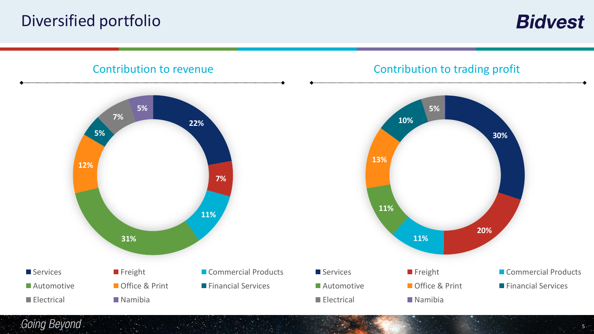## Diversified portfolio

**Bidvest** 



Going Beyond

 $5.5$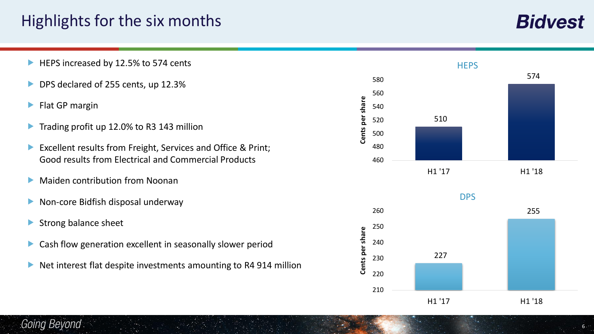## Highlights for the six months

- HEPS increased by 12.5% to 574 cents
- DPS declared of 255 cents, up 12.3%
- **Flat GP margin**
- Trading profit up 12.0% to R3 143 million
- Excellent results from Freight, Services and Office & Print; Good results from Electrical and Commercial Products
- **Maiden contribution from Noonan**
- ▶ Non-core Bidfish disposal underway
- $\blacktriangleright$  Strong balance sheet
- Cash flow generation excellent in seasonally slower period
- Net interest flat despite investments amounting to R4 914 million



6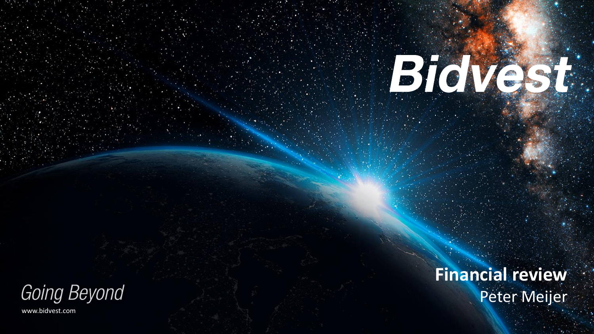**Financial review** Peter Meijer

BioVest:

Going Beyond www.bidvest.com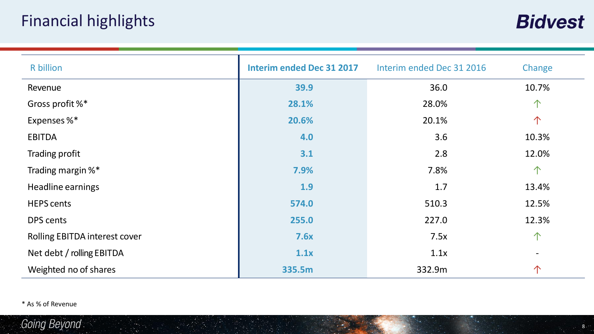## Financial highlights

**Bidvest** 

| R billion                     | <b>Interim ended Dec 31 2017</b> | Interim ended Dec 31 2016 | Change     |
|-------------------------------|----------------------------------|---------------------------|------------|
| Revenue                       | 39.9                             | 36.0                      | 10.7%      |
| Gross profit %*               | 28.1%                            | 28.0%                     | $\uparrow$ |
| Expenses %*                   | 20.6%                            | 20.1%                     | $\uparrow$ |
| <b>EBITDA</b>                 | 4.0                              | 3.6                       | 10.3%      |
| Trading profit                | 3.1                              | 2.8                       | 12.0%      |
| Trading margin %*             | 7.9%                             | 7.8%                      | $\uparrow$ |
| Headline earnings             | 1.9                              | 1.7                       | 13.4%      |
| <b>HEPS cents</b>             | 574.0                            | 510.3                     | 12.5%      |
| DPS cents                     | 255.0                            | 227.0                     | 12.3%      |
| Rolling EBITDA interest cover | 7.6x                             | 7.5x                      | $\uparrow$ |
| Net debt / rolling EBITDA     | 1.1x                             | 1.1x                      |            |
| Weighted no of shares         | 335.5m                           | 332.9m                    | 个          |

\* As % of Revenue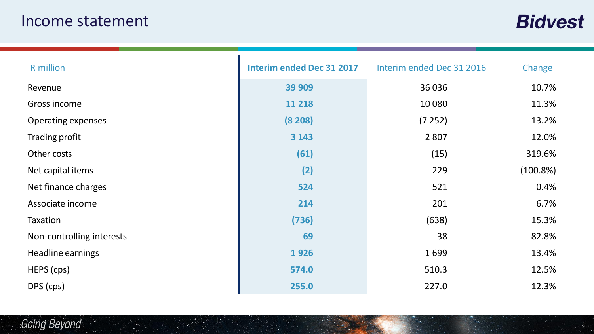## Income statement

**Bidvest** 

| <b>R</b> million          | <b>Interim ended Dec 31 2017</b> | Interim ended Dec 31 2016 | Change      |
|---------------------------|----------------------------------|---------------------------|-------------|
| Revenue                   | 39 909                           | 36036                     | 10.7%       |
| Gross income              | 11 218                           | 10 0 80                   | 11.3%       |
| <b>Operating expenses</b> | (8 208)                          | (7252)                    | 13.2%       |
| Trading profit            | 3 1 4 3                          | 2 8 0 7                   | 12.0%       |
| Other costs               | (61)                             | (15)                      | 319.6%      |
| Net capital items         | (2)                              | 229                       | $(100.8\%)$ |
| Net finance charges       | 524                              | 521                       | 0.4%        |
| Associate income          | 214                              | 201                       | 6.7%        |
| Taxation                  | (736)                            | (638)                     | 15.3%       |
| Non-controlling interests | 69                               | 38                        | 82.8%       |
| Headline earnings         | 1926                             | 1699                      | 13.4%       |
| HEPS (cps)                | 574.0                            | 510.3                     | 12.5%       |
| DPS (cps)                 | 255.0                            | 227.0                     | 12.3%       |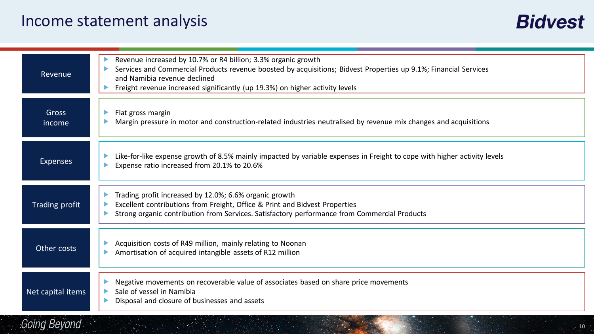## Income statement analysis

| Revenue                | Revenue increased by 10.7% or R4 billion; 3.3% organic growth<br>Services and Commercial Products revenue boosted by acquisitions; Bidvest Properties up 9.1%; Financial Services<br>and Namibia revenue declined<br>Freight revenue increased significantly (up 19.3%) on higher activity levels |
|------------------------|---------------------------------------------------------------------------------------------------------------------------------------------------------------------------------------------------------------------------------------------------------------------------------------------------|
| <b>Gross</b><br>income | Flat gross margin<br>Margin pressure in motor and construction-related industries neutralised by revenue mix changes and acquisitions                                                                                                                                                             |
| <b>Expenses</b>        | Like-for-like expense growth of 8.5% mainly impacted by variable expenses in Freight to cope with higher activity levels<br>Expense ratio increased from 20.1% to 20.6%                                                                                                                           |
| Trading profit         | Trading profit increased by 12.0%; 6.6% organic growth<br>Excellent contributions from Freight, Office & Print and Bidvest Properties<br>Strong organic contribution from Services. Satisfactory performance from Commercial Products                                                             |
| Other costs            | Acquisition costs of R49 million, mainly relating to Noonan<br>Amortisation of acquired intangible assets of R12 million                                                                                                                                                                          |
| Net capital items      | Negative movements on recoverable value of associates based on share price movements<br>Sale of vessel in Namibia<br>Disposal and closure of businesses and assets                                                                                                                                |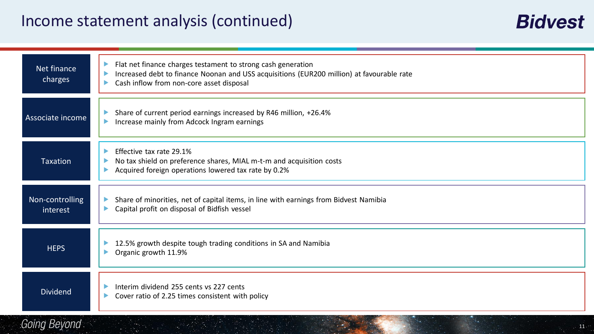| Net finance<br>charges      | Flat net finance charges testament to strong cash generation<br>D<br>Increased debt to finance Noonan and USS acquisitions (EUR200 million) at favourable rate<br>Cash inflow from non-core asset disposal |
|-----------------------------|------------------------------------------------------------------------------------------------------------------------------------------------------------------------------------------------------------|
| Associate income            | Share of current period earnings increased by R46 million, +26.4%<br>Increase mainly from Adcock Ingram earnings<br>D                                                                                      |
| <b>Taxation</b>             | Effective tax rate 29.1%<br>D<br>No tax shield on preference shares, MIAL m-t-m and acquisition costs<br>Acquired foreign operations lowered tax rate by 0.2%                                              |
| Non-controlling<br>interest | Share of minorities, net of capital items, in line with earnings from Bidvest Namibia<br>Capital profit on disposal of Bidfish vessel                                                                      |
| <b>HEPS</b>                 | 12.5% growth despite tough trading conditions in SA and Namibia<br>Organic growth 11.9%                                                                                                                    |
| <b>Dividend</b>             | Interim dividend 255 cents vs 227 cents<br>Cover ratio of 2.25 times consistent with policy                                                                                                                |

## Going Beyond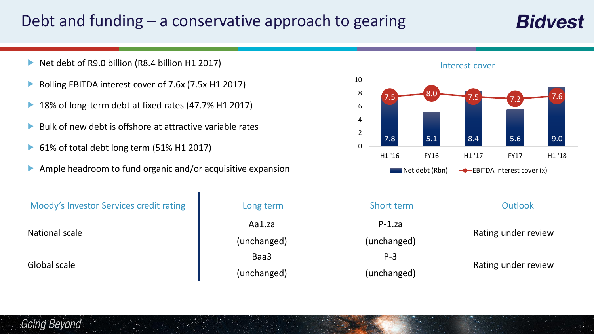## Debt and funding – a conservative approach to gearing

- Net debt of R9.0 billion (R8.4 billion H1 2017)
- ▶ Rolling EBITDA interest cover of 7.6x (7.5x H1 2017)
- ▶ 18% of long-term debt at fixed rates (47.7% H1 2017)
- $\blacktriangleright$  Bulk of new debt is offshore at attractive variable rates
- 61% of total debt long term (51% H1 2017)
- Ample headroom to fund organic and/or acquisitive expansion



| Interest cover |             |        |             |                  |
|----------------|-------------|--------|-------------|------------------|
| 7.5            | 8.0         | 7.5    | 7.2         | $\overline{7.6}$ |
| 7.8            | 5.1         | 8.4    | 5.6         | 9.0              |
| H1 '16         | <b>FY16</b> | H1 '17 | <b>FY17</b> | H1 '18           |

| Moody's Investor Services credit rating | Long term   | Short term  | <b>Outlook</b>      |
|-----------------------------------------|-------------|-------------|---------------------|
|                                         | Aa1.za      | $P-1.za$    |                     |
| National scale                          | (unchanged) | (unchanged) | Rating under review |
|                                         | Baa3        | $P-3$       |                     |
| Global scale                            | (unchanged) | (unchanged) | Rating under review |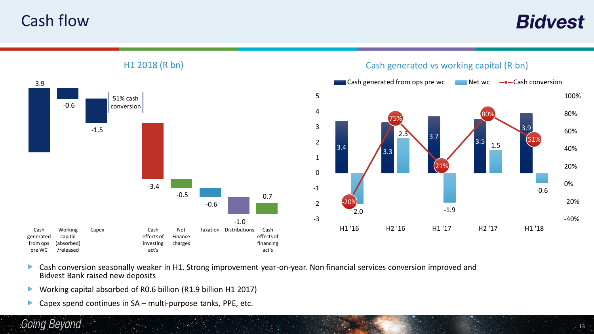Cash flow

**Bidvest** 



H1 2018 (R bn)

- **Cash conversion seasonally weaker in H1. Strong improvement year-on-year. Non financial services conversion improved and** Bidvest Bank raised new deposits
- Working capital absorbed of R0.6 billion (R1.9 billion H1 2017)
- Capex spend continues in  $SA$  multi-purpose tanks, PPE, etc.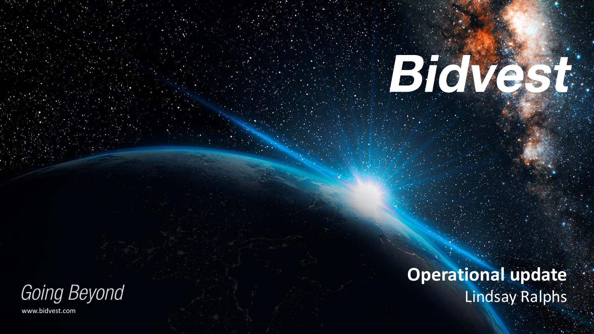**Operational update** Lindsay Ralphs

BioVest:

Going Beyond www.bidvest.com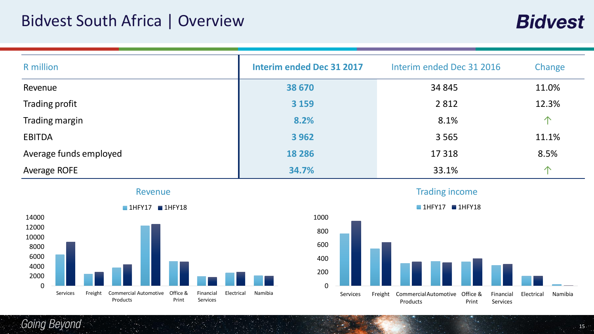## Bidvest South Africa | Overview

| <b>R</b> million       | <b>Interim ended Dec 31 2017</b> | Interim ended Dec 31 2016 | Change         |
|------------------------|----------------------------------|---------------------------|----------------|
| Revenue                | 38 670                           | 34 845                    | 11.0%          |
| Trading profit         | 3 1 5 9                          | 2 8 1 2                   | 12.3%          |
| Trading margin         | 8.2%                             | 8.1%                      | $\hat{\wedge}$ |
| <b>EBITDA</b>          | 3 9 6 2                          | 3 5 6 5                   | 11.1%          |
| Average funds employed | 18 2 8 6                         | 17 3 18                   | 8.5%           |
| Average ROFE           | 34.7%                            | 33.1%                     | $\bigwedge$    |







Trading income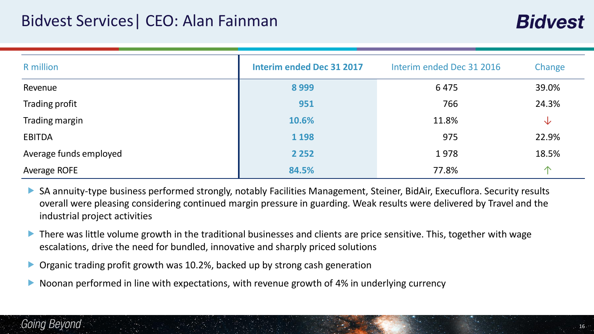| <b>R</b> million       | <b>Interim ended Dec 31 2017</b> | Interim ended Dec 31 2016 | Change      |
|------------------------|----------------------------------|---------------------------|-------------|
| Revenue                | 8999                             | 6475                      | 39.0%       |
| Trading profit         | 951                              | 766                       | 24.3%       |
| Trading margin         | 10.6%                            | 11.8%                     | V           |
| <b>EBITDA</b>          | 1 1 9 8                          | 975                       | 22.9%       |
| Average funds employed | 2 2 5 2                          | 1978                      | 18.5%       |
| Average ROFE           | 84.5%                            | 77.8%                     | $\bigwedge$ |

- SA annuity-type business performed strongly, notably Facilities Management, Steiner, BidAir, Execuflora. Security results overall were pleasing considering continued margin pressure in guarding. Weak results were delivered by Travel and the industrial project activities
- There was little volume growth in the traditional businesses and clients are price sensitive. This, together with wage escalations, drive the need for bundled, innovative and sharply priced solutions
- Organic trading profit growth was 10.2%, backed up by strong cash generation
- Noonan performed in line with expectations, with revenue growth of 4% in underlying currency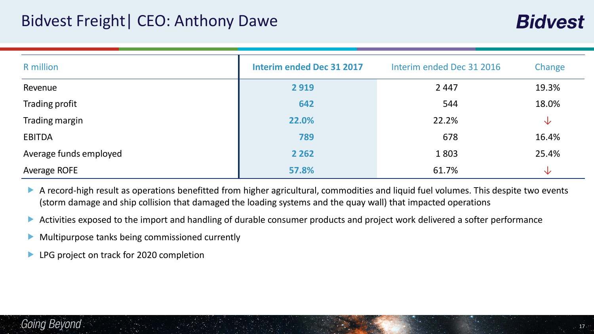| <b>R</b> million       | <b>Interim ended Dec 31 2017</b> | Interim ended Dec 31 2016 | Change       |
|------------------------|----------------------------------|---------------------------|--------------|
| Revenue                | 2919                             | 2 4 4 7                   | 19.3%        |
| Trading profit         | 642                              | 544                       | 18.0%        |
| Trading margin         | 22.0%                            | 22.2%                     | $\downarrow$ |
| <b>EBITDA</b>          | 789                              | 678                       | 16.4%        |
| Average funds employed | 2 2 6 2                          | 1803                      | 25.4%        |
| Average ROFE           | 57.8%                            | 61.7%                     | $\sqrt{}$    |

- A record-high result as operations benefitted from higher agricultural, commodities and liquid fuel volumes. This despite two events (storm damage and ship collision that damaged the loading systems and the quay wall) that impacted operations
- Activities exposed to the import and handling of durable consumer products and project work delivered a softer performance
- Multipurpose tanks being commissioned currently
- LPG project on track for 2020 completion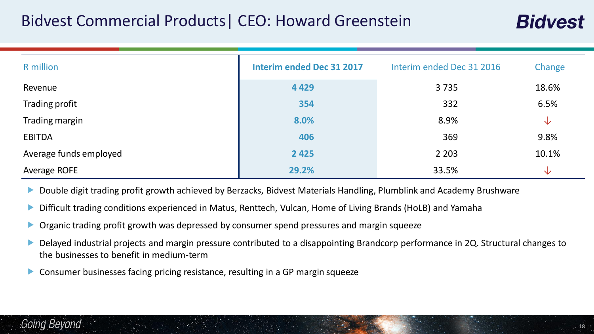## Bidvest Commercial Products| CEO: Howard Greenstein

| <b>R</b> million       | <b>Interim ended Dec 31 2017</b> | Interim ended Dec 31 2016 | Change |
|------------------------|----------------------------------|---------------------------|--------|
| Revenue                | 4 4 2 9                          | 3735                      | 18.6%  |
| Trading profit         | 354                              | 332                       | 6.5%   |
| Trading margin         | 8.0%                             | 8.9%                      | ╰┸     |
| <b>EBITDA</b>          | 406                              | 369                       | 9.8%   |
| Average funds employed | 2 4 2 5                          | 2 2 0 3                   | 10.1%  |
| <b>Average ROFE</b>    | 29.2%                            | 33.5%                     | ╰┻     |

- Double digit trading profit growth achieved by Berzacks, Bidvest Materials Handling, Plumblink and Academy Brushware
- Difficult trading conditions experienced in Matus, Renttech, Vulcan, Home of Living Brands (HoLB) and Yamaha
- ▶ Organic trading profit growth was depressed by consumer spend pressures and margin squeeze
- Delayed industrial projects and margin pressure contributed to a disappointing Brandcorp performance in 2Q. Structural changes to the businesses to benefit in medium-term
- Consumer businesses facing pricing resistance, resulting in a GP margin squeeze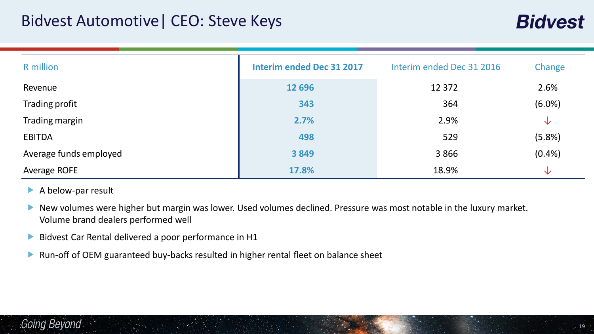| <b>R</b> million       | <b>Interim ended Dec 31 2017</b> | Interim ended Dec 31 2016 | Change       |
|------------------------|----------------------------------|---------------------------|--------------|
| Revenue                | 12 696                           | 12 3 72                   | 2.6%         |
| Trading profit         | 343                              | 364                       | $(6.0\%)$    |
| Trading margin         | 2.7%                             | 2.9%                      | $\downarrow$ |
| <b>EBITDA</b>          | 498                              | 529                       | (5.8%)       |
| Average funds employed | 3849                             | 3866                      | (0.4% )      |
| Average ROFE           | 17.8%                            | 18.9%                     | ╰┸           |

- A below-par result
- New volumes were higher but margin was lower. Used volumes declined. Pressure was most notable in the luxury market. Volume brand dealers performed well
- Bidvest Car Rental delivered a poor performance in H1
- ▶ Run-off of OEM guaranteed buy-backs resulted in higher rental fleet on balance sheet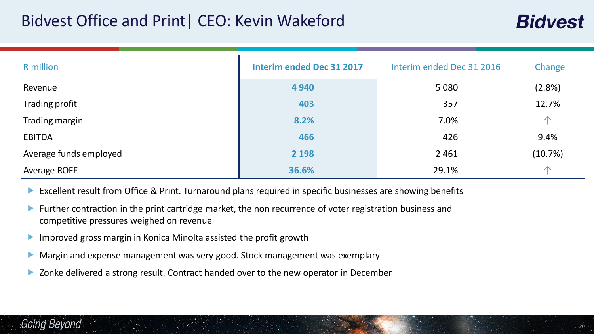## Bidvest Office and Print| CEO: Kevin Wakeford

| R million              | <b>Interim ended Dec 31 2017</b> | Interim ended Dec 31 2016 | Change      |
|------------------------|----------------------------------|---------------------------|-------------|
| Revenue                | 4 9 4 0                          | 5 0 8 0                   | $(2.8\%)$   |
| Trading profit         | 403                              | 357                       | 12.7%       |
| Trading margin         | 8.2%                             | 7.0%                      | $\bigwedge$ |
| <b>EBITDA</b>          | 466                              | 426                       | 9.4%        |
| Average funds employed | 2 1 9 8                          | 2 4 6 1                   | (10.7%)     |
| Average ROFE           | 36.6%                            | 29.1%                     | $\bigwedge$ |

- Excellent result from Office & Print. Turnaround plans required in specific businesses are showing benefits
- **Further contraction in the print cartridge market, the non recurrence of voter registration business and** competitive pressures weighed on revenue
- **Improved gross margin in Konica Minolta assisted the profit growth**
- Margin and expense management was very good. Stock management was exemplary
- ▶ Zonke delivered a strong result. Contract handed over to the new operator in December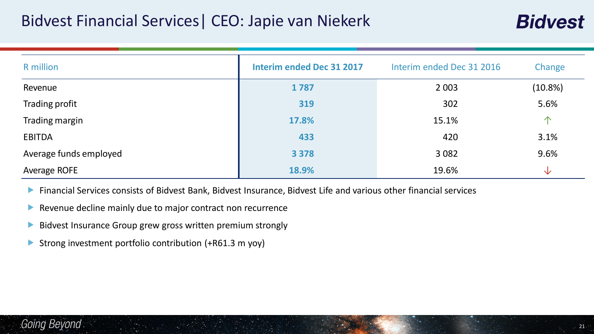## Bidvest Financial Services| CEO: Japie van Niekerk

| R million              | <b>Interim ended Dec 31 2017</b> | Interim ended Dec 31 2016 | Change      |
|------------------------|----------------------------------|---------------------------|-------------|
| Revenue                | 1787                             | 2 0 0 3                   | $(10.8\%)$  |
| Trading profit         | 319                              | 302                       | 5.6%        |
| Trading margin         | 17.8%                            | 15.1%                     | $\triangle$ |
| <b>EBITDA</b>          | 433                              | 420                       | 3.1%        |
| Average funds employed | 3 3 7 8                          | 3 0 8 2                   | 9.6%        |
| Average ROFE           | 18.9%                            | 19.6%                     | ╰┻          |

- Financial Services consists of Bidvest Bank, Bidvest Insurance, Bidvest Life and various other financial services
- Revenue decline mainly due to major contract non recurrence
- Bidvest Insurance Group grew gross written premium strongly
- Strong investment portfolio contribution (+R61.3 m yoy)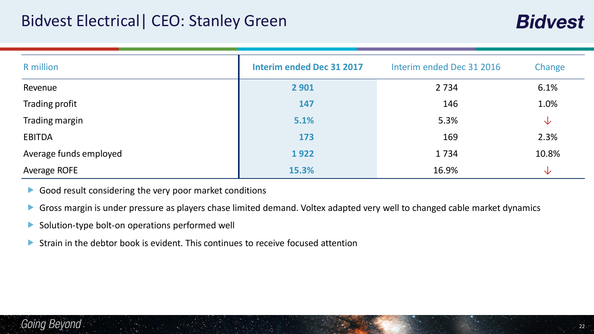| <b>R</b> million       | <b>Interim ended Dec 31 2017</b> | Interim ended Dec 31 2016 | Change |
|------------------------|----------------------------------|---------------------------|--------|
| Revenue                | 2 9 0 1                          | 2 7 3 4                   | 6.1%   |
| Trading profit         | 147                              | 146                       | 1.0%   |
| Trading margin         | 5.1%                             | 5.3%                      | 业      |
| <b>EBITDA</b>          | 173                              | 169                       | 2.3%   |
| Average funds employed | 1922                             | 1734                      | 10.8%  |
| Average ROFE           | 15.3%                            | 16.9%                     | ╰┸     |

- Good result considering the very poor market conditions
- Gross margin is under pressure as players chase limited demand. Voltex adapted very well to changed cable market dynamics
- Solution-type bolt-on operations performed well
- Strain in the debtor book is evident. This continues to receive focused attention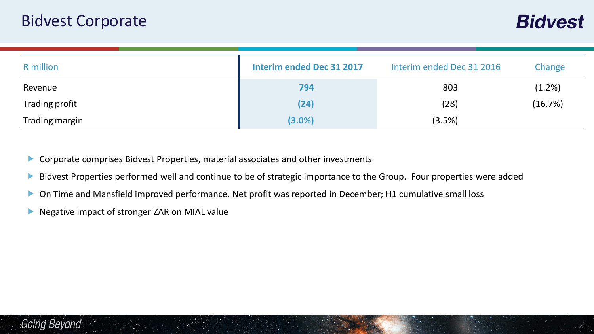| R million      | Interim ended Dec 31 2017 | Interim ended Dec 31 2016 | Change    |
|----------------|---------------------------|---------------------------|-----------|
| Revenue        | 794                       | 803                       | $(1.2\%)$ |
| Trading profit | (24)                      | (28)                      | (16.7%)   |
| Trading margin | $(3.0\%)$                 | (3.5%)                    |           |

Corporate comprises Bidvest Properties, material associates and other investments

- Bidvest Properties performed well and continue to be of strategic importance to the Group. Four properties were added
- ▶ On Time and Mansfield improved performance. Net profit was reported in December; H1 cumulative small loss
- Negative impact of stronger ZAR on MIAL value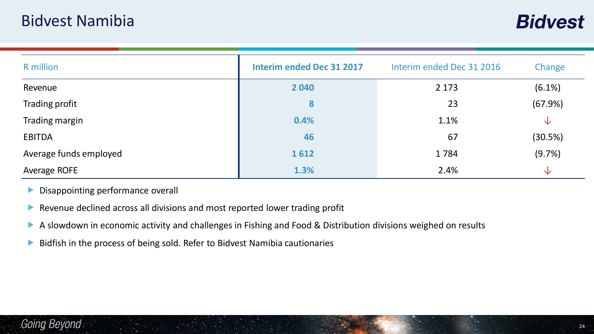| R million              | <b>Interim ended Dec 31 2017</b> | Interim ended Dec 31 2016 | Change       |
|------------------------|----------------------------------|---------------------------|--------------|
| Revenue                | 2 0 4 0                          | 2 1 7 3                   | $(6.1\%)$    |
| Trading profit         | 8                                | 23                        | (67.9%)      |
| Trading margin         | 0.4%                             | 1.1%                      | $\downarrow$ |
| <b>EBITDA</b>          | 46                               | 67                        | (30.5%)      |
| Average funds employed | 1612                             | 1784                      | (9.7%)       |
| <b>Average ROFE</b>    | 1.3%                             | 2.4%                      | $\downarrow$ |

Disappointing performance overall

- Revenue declined across all divisions and most reported lower trading profit
- A slowdown in economic activity and challenges in Fishing and Food & Distribution divisions weighed on results
- Bidfish in the process of being sold. Refer to Bidvest Namibia cautionaries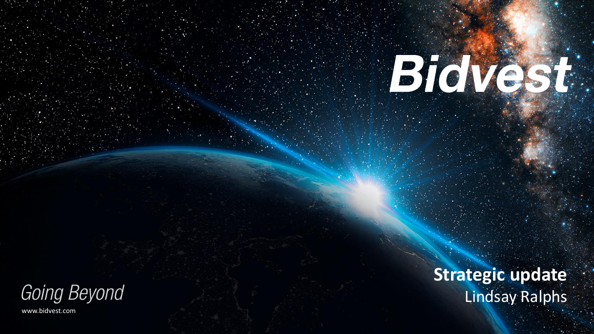**Strategic update** Lindsay Ralphs

BioVest:

Going Beyond

www.bidvest.com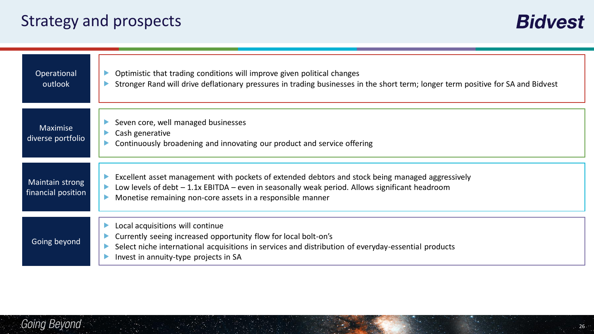| Operational<br>outlook                | Optimistic that trading conditions will improve given political changes<br>▶<br>Stronger Rand will drive deflationary pressures in trading businesses in the short term; longer term positive for SA and Bidvest                                                             |
|---------------------------------------|------------------------------------------------------------------------------------------------------------------------------------------------------------------------------------------------------------------------------------------------------------------------------|
| <b>Maximise</b><br>diverse portfolio  | Seven core, well managed businesses<br>Cash generative<br>Continuously broadening and innovating our product and service offering                                                                                                                                            |
| Maintain strong<br>financial position | Excellent asset management with pockets of extended debtors and stock being managed aggressively<br>Low levels of debt $-1.1x$ EBITDA – even in seasonally weak period. Allows significant headroom<br>Monetise remaining non-core assets in a responsible manner            |
| Going beyond                          | Local acquisitions will continue<br>$\blacktriangleright$<br>Currently seeing increased opportunity flow for local bolt-on's<br>Select niche international acquisitions in services and distribution of everyday-essential products<br>Invest in annuity-type projects in SA |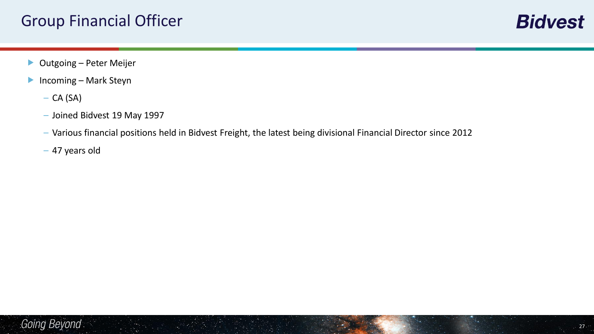- ▶ Outgoing Peter Meijer
- ▶ Incoming Mark Steyn
	- $-$  CA (SA)
	- Joined Bidvest 19 May 1997
	- Various financial positions held in Bidvest Freight, the latest being divisional Financial Director since 2012
	- 47 years old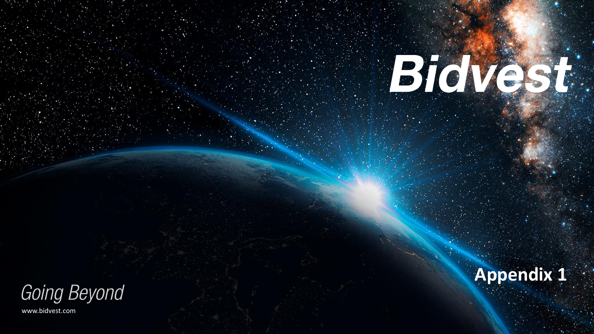

www.bidvest.com



BioVest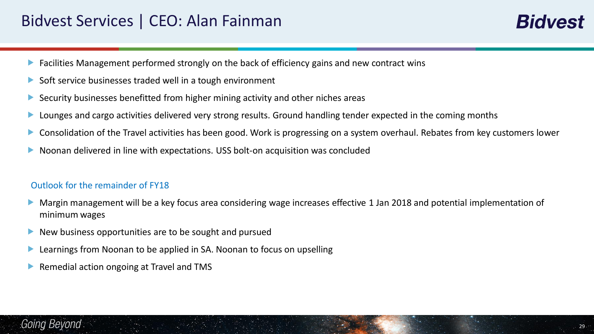## Bidvest Services | CEO: Alan Fainman

- Facilities Management performed strongly on the back of efficiency gains and new contract wins
- Soft service businesses traded well in a tough environment
- Security businesses benefitted from higher mining activity and other niches areas
- **Lounges and cargo activities delivered very strong results. Ground handling tender expected in the coming months**
- Consolidation of the Travel activities has been good. Work is progressing on a system overhaul. Rebates from key customers lower
- Noonan delivered in line with expectations. USS bolt-on acquisition was concluded

#### Outlook for the remainder of FY18

- Margin management will be a key focus area considering wage increases effective 1 Jan 2018 and potential implementation of minimum wages
- $\blacktriangleright$  New business opportunities are to be sought and pursued
- Learnings from Noonan to be applied in SA. Noonan to focus on upselling
- Remedial action ongoing at Travel and TMS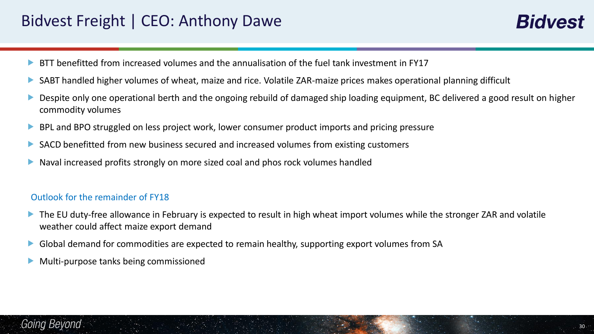## Bidvest Freight | CEO: Anthony Dawe

**Bidvest** 

- BTT benefitted from increased volumes and the annualisation of the fuel tank investment in FY17
- SABT handled higher volumes of wheat, maize and rice. Volatile ZAR-maize prices makes operational planning difficult
- Despite only one operational berth and the ongoing rebuild of damaged ship loading equipment, BC delivered a good result on higher commodity volumes
- **BPL and BPO struggled on less project work, lower consumer product imports and pricing pressure**
- SACD benefitted from new business secured and increased volumes from existing customers
- Naval increased profits strongly on more sized coal and phos rock volumes handled

#### Outlook for the remainder of FY18

- The EU duty-free allowance in February is expected to result in high wheat import volumes while the stronger ZAR and volatile weather could affect maize export demand
- Global demand for commodities are expected to remain healthy, supporting export volumes from SA
- Multi-purpose tanks being commissioned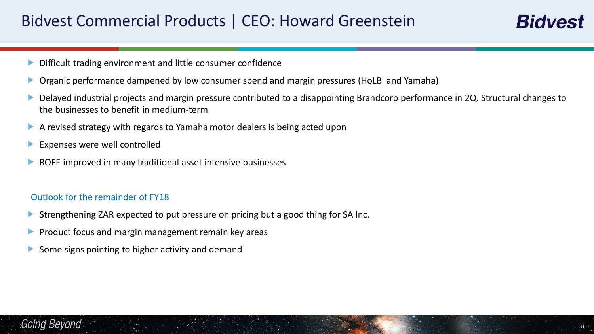## Bidvest Commercial Products | CEO: Howard Greenstein

- Difficult trading environment and little consumer confidence
- Organic performance dampened by low consumer spend and margin pressures (HoLB and Yamaha)
- Delayed industrial projects and margin pressure contributed to a disappointing Brandcorp performance in 2Q. Structural changes to the businesses to benefit in medium-term
- A revised strategy with regards to Yamaha motor dealers is being acted upon
- **Expenses were well controlled**
- ROFE improved in many traditional asset intensive businesses

#### Outlook for the remainder of FY18

- Strengthening ZAR expected to put pressure on pricing but a good thing for SA Inc.
- Product focus and margin management remain key areas
- Some signs pointing to higher activity and demand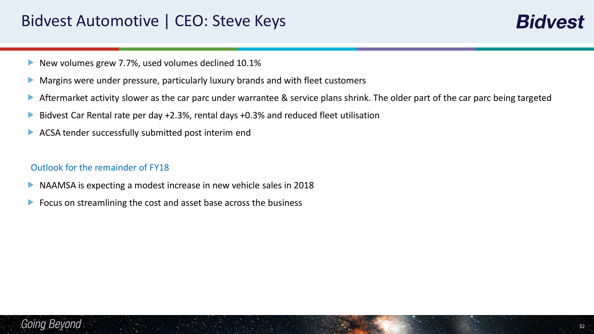## Bidvest Automotive | CEO: Steve Keys

**Bidvest** 

- New volumes grew 7.7%, used volumes declined 10.1%
- **Margins were under pressure, particularly luxury brands and with fleet customers**
- Aftermarket activity slower as the car parc under warrantee & service plans shrink. The older part of the car parc being targeted
- ▶ Bidvest Car Rental rate per day +2.3%, rental days +0.3% and reduced fleet utilisation
- ACSA tender successfully submitted post interim end

#### Outlook for the remainder of FY18

- NAAMSA is expecting a modest increase in new vehicle sales in 2018
- **Focus on streamlining the cost and asset base across the business**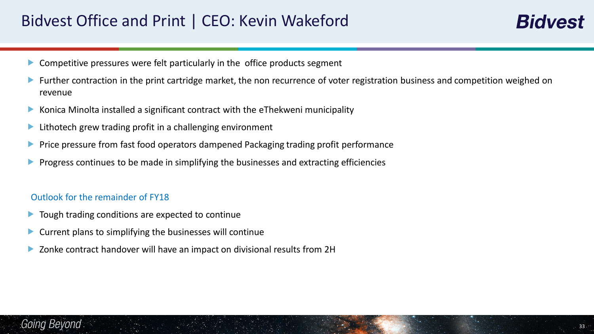## Bidvest Office and Print | CEO: Kevin Wakeford

- Competitive pressures were felt particularly in the office products segment
- Further contraction in the print cartridge market, the non recurrence of voter registration business and competition weighed on revenue
- Konica Minolta installed a significant contract with the eThekweni municipality
- **Lithotech grew trading profit in a challenging environment**
- Price pressure from fast food operators dampened Packaging trading profit performance
- Progress continues to be made in simplifying the businesses and extracting efficiencies

#### Outlook for the remainder of FY18

- $\blacktriangleright$  Tough trading conditions are expected to continue
- Current plans to simplifying the businesses will continue
- Zonke contract handover will have an impact on divisional results from 2H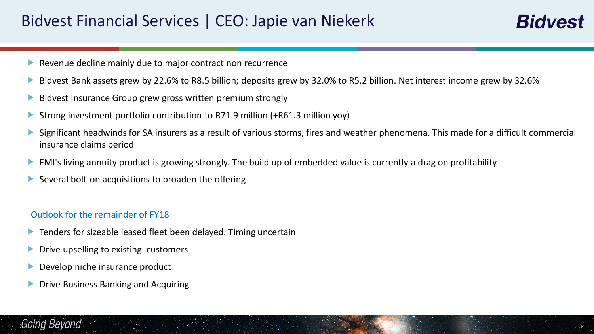- Revenue decline mainly due to major contract non recurrence
- Bidvest Bank assets grew by 22.6% to R8.5 billion; deposits grew by 32.0% to R5.2 billion. Net interest income grew by 32.6%
- Bidvest Insurance Group grew gross written premium strongly
- Strong investment portfolio contribution to R71.9 million (+R61.3 million yoy)
- Significant headwinds for SA insurers as a result of various storms, fires and weather phenomena. This made for a difficult commercial insurance claims period
- **FMI's living annuity product is growing strongly. The build up of embedded value is currently a drag on profitability**
- $\triangleright$  Several bolt-on acquisitions to broaden the offering

#### Outlook for the remainder of FY18

- **Tenders for sizeable leased fleet been delayed. Timing uncertain**
- **Drive upselling to existing customers**
- Develop niche insurance product
- Drive Business Banking and Acquiring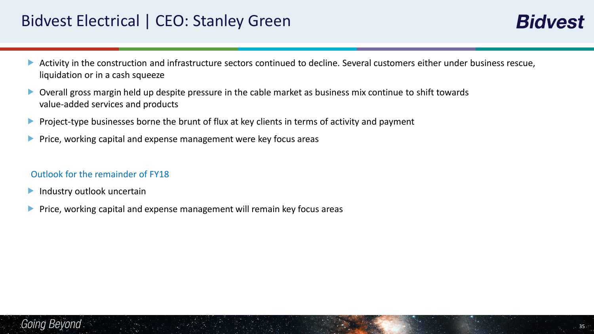## Bidvest Electrical | CEO: Stanley Green

- Activity in the construction and infrastructure sectors continued to decline. Several customers either under business rescue, liquidation or in a cash squeeze
- Overall gross margin held up despite pressure in the cable market as business mix continue to shift towards value-added services and products
- Project-type businesses borne the brunt of flux at key clients in terms of activity and payment
- **Price, working capital and expense management were key focus areas**

#### Outlook for the remainder of FY18

- **Industry outlook uncertain**
- **Price, working capital and expense management will remain key focus areas**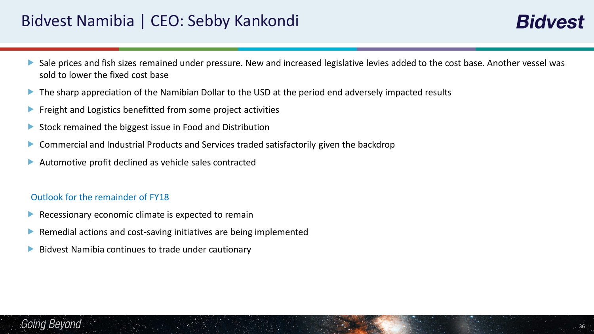## Bidvest Namibia | CEO: Sebby Kankondi

- Sale prices and fish sizes remained under pressure. New and increased legislative levies added to the cost base. Another vessel was sold to lower the fixed cost base
- The sharp appreciation of the Namibian Dollar to the USD at the period end adversely impacted results
- $\blacktriangleright$  Freight and Logistics benefitted from some project activities
- Stock remained the biggest issue in Food and Distribution
- Commercial and Industrial Products and Services traded satisfactorily given the backdrop
- Automotive profit declined as vehicle sales contracted

#### Outlook for the remainder of FY18

- $\blacktriangleright$  Recessionary economic climate is expected to remain
- Remedial actions and cost-saving initiatives are being implemented
- Bidvest Namibia continues to trade under cautionary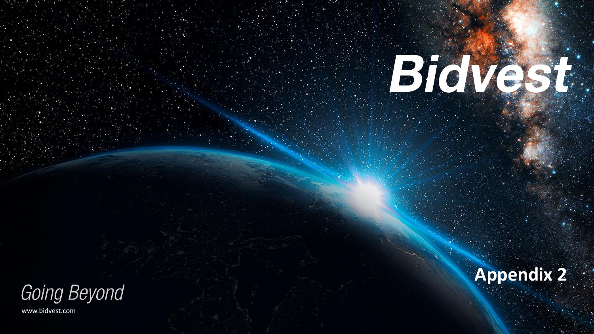

www.bidvest.com



# BioVest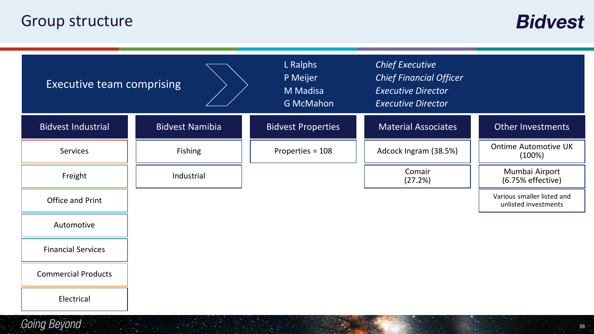## Group structure

**Bidvest** 

 $38 -$ 

| <b>Executive team comprising</b> |                        | L Ralphs<br>P Meijer<br>M Madisa<br><b>G McMahon</b> | <b>Chief Executive</b><br><b>Chief Financial Officer</b><br><b>Executive Director</b><br><b>Executive Director</b> |                                                    |
|----------------------------------|------------------------|------------------------------------------------------|--------------------------------------------------------------------------------------------------------------------|----------------------------------------------------|
| <b>Bidvest Industrial</b>        | <b>Bidvest Namibia</b> | <b>Bidvest Properties</b>                            | <b>Material Associates</b>                                                                                         | <b>Other Investments</b>                           |
| <b>Services</b>                  | Fishing                | Properties = 108                                     | Adcock Ingram (38.5%)                                                                                              | <b>Ontime Automotive UK</b><br>(100%)              |
| Freight                          | Industrial             |                                                      | Comair<br>(27.2%)                                                                                                  | Mumbai Airport<br>(6.75% effective)                |
| Office and Print                 |                        |                                                      |                                                                                                                    | Various smaller listed and<br>unlisted investments |
| Automotive                       |                        |                                                      |                                                                                                                    |                                                    |
| <b>Financial Services</b>        |                        |                                                      |                                                                                                                    |                                                    |
| <b>Commercial Products</b>       |                        |                                                      |                                                                                                                    |                                                    |
| Electrical                       |                        |                                                      |                                                                                                                    |                                                    |
| Going Beyond                     |                        |                                                      |                                                                                                                    | $38 -$                                             |